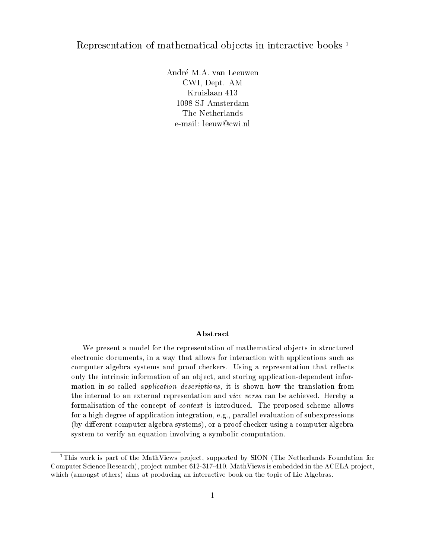# Representation of mathematical objects in interactive books<sup>1</sup>

CWI, Dept. AM Kruislaan The Netherlands e-mail: leeuw@cwi.nl

#### Abstract

We present a model for the representation of mathematical objects in structured electronic documents- in a way that allows for interaction with applications such as computer algebra systems and province and province and province the property of the representation that represen only the intrinsic information of an ob ject- and storing applicationdependent information in socalled application descriptions- it is shown how the translation from the internal to an external representation and vice versa can be achieved Hereby a formalisation of the concept of context is introduced. The proposed scheme allows for a high degree of application integration- eg- parallel evaluation of subexpressionsby dierent computer algebra systems- or a proof checker using a computer algebrasystem to verify an equation involving a symbolic computation.

This work is part of the MathViews pro ject- supported by SION The Netherlands Foundation for Computer Science Research- pro ject number 
 MathViews is embedded in the ACELA pro jectwhich (amongst others) aims at producing an interactive book on the topic of Lie Algebras.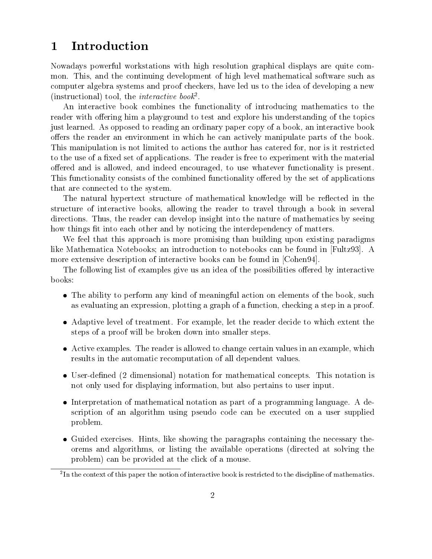#### 1 Introduction

Nowadays powerful workstations with high resolution graphical displays are quite com mon. This, and the continuing development of high level mathematical software such as computer algebra systems and proof checkers, have led us to the idea of developing a new (instructional) tool, the *interactive book*.

An interactive book combines the functionality of introducing mathematics to the reader with offering him a playground to test and explore his understanding of the topics just learned. As opposed to reading an ordinary paper copy of a book, an interactive book offers the reader an environment in which he can actively manipulate parts of the book. This manipulation is not limited to actions the author has catered for nor is it restricted to the use of a fixed set of applications. The reader is free to experiment with the material offered and is allowed, and indeed encouraged, to use whatever functionality is present. This functionality consists of the combined functionality offered by the set of applications that are connected to the system

The natural hypertext structure of mathematical knowledge will be reflected in the structure of interactive books, allowing the reader to travel through a book in several directions. Thus, the reader can develop insight into the nature of mathematics by seeing how things fit into each other and by noticing the interdependency of matters.

We feel that this approach is more promising than building upon existing paradigms like Mathematica Notebooks; an introduction to notebooks can be found in  $[Fultz93]$ . A more extensive description of interactive books can be found in [Cohen94].

The following list of examples give us an idea of the possibilities offered by interactive books

- The ability to perform any kind of meaningful action on elements of the book such as evaluating an expression, plotting a graph of a function, checking a step in a proof.
- Adaptive level of treatment. For example, let the reader decide to which extent the steps of a proof will be broken down into smaller steps
- Active examples. The reader is allowed to change certain values in an example, which results in the automatic recomputation of all dependent values
- User-defined (2 dimensional) notation for mathematical concepts. This notation is not only used for displaying information but also pertains to user input
- Interpretation of mathematical notation as part of a programming language. A description of an algorithm using pseudo code can be executed on a user supplied problem
- Guided exercises. Hints, like showing the paragraphs containing the necessary theorems and algorithms, or listing the available operations (directed at solving the problem) can be provided at the click of a mouse.

<sup>-</sup> In the context of this paper the notion of interactive book is restricted to the discipline of mathematics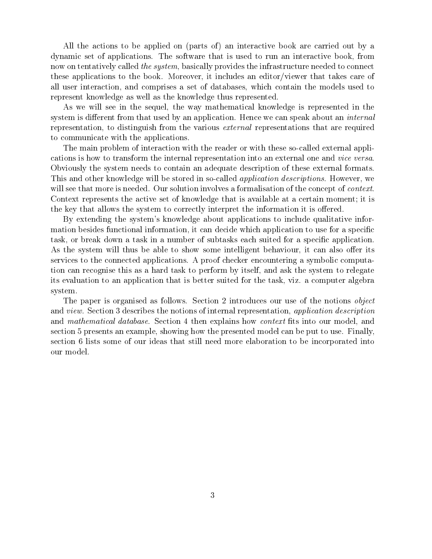All the actions to be applied on (parts of) an interactive book are carried out by a dynamic set of applications The software that is used to run an interactive book from now on tentatively called the system, basically provides the infrastructure needed to connect these applications to the book. Moreover, it includes an editor/viewer that takes care of all user interaction and comprises a set of databases which contain the models used to represent knowledge as well as the knowledge thus represented

As we will see in the sequel, the way mathematical knowledge is represented in the system is different from that used by an application. Hence we can speak about an *internal* representation, to distinguish from the various external representations that are required to communicate with the applications

The main problem of interaction with the reader or with these socalled external appli cations is how to transform the internal representation into an external one and vice versa Obviously the system needs to contain an adequate description of these external formats This and other knowledge will be stored in so-called *application descriptions*. However, we will see that more is needed. Our solution involves a formalisation of the concept of *context*. Context represents the active set of knowledge that is available at a certain moment; it is the key that allows the system to correctly interpret the information it is offered.

By extending the system's knowledge about applications to include qualitative information besides functional information, it can decide which application to use for a specific task, or break down a task in a number of subtasks each suited for a specific application. As the system will thus be able to show some intelligent behaviour, it can also offer its services to the connected applications. A proof checker encountering a symbolic computation can recognise this as a hard task to perform by itself and ask the system to relegate its evaluation to an application that is better suited for the task viz a computer algebra system

The paper is organised as follows. Section 2 introduces our use of the notions *object* and *view*. Section 3 describes the notions of internal representation, application description and *mathematical database*. Section 4 then explains how *context* fits into our model, and section 5 presents an example, showing how the presented model can be put to use. Finally, section 6 lists some of our ideas that still need more elaboration to be incorporated into our model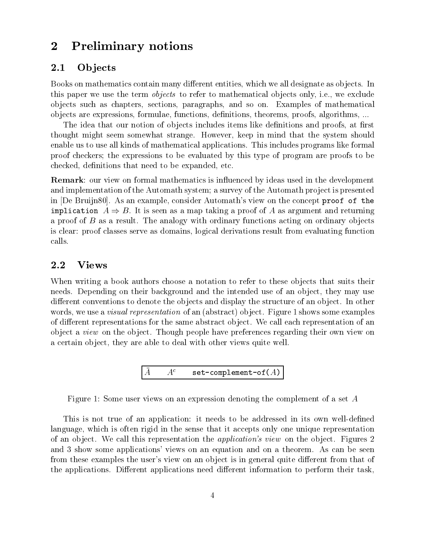#### $\boldsymbol{2}$ Preliminary notions

#### $2.1$ **Objects**

Books on mathematics contain many different entities, which we all designate as objects. In this paper we use the term *objects* to refer to mathematical objects only, i.e., we exclude objects such as chapters, sections, paragraphs, and so on. Examples of mathematical objects are expressions, formulae, functions, definitions, theorems, proofs, algorithms, ...

The idea that our notion of objects includes items like definitions and proofs, at first thought might seem somewhat strange. However, keep in mind that the system should enable us to use all kinds of mathematical applications This includes programs like formal proof checkers the expressions to be evaluated by this type of program are proofs to be checked, definitions that need to be expanded, etc.

**Remark:** our view on formal mathematics is influenced by ideas used in the development and implementation of the Automath system; a survey of the Automath project is presented in De Bruijn As an example consider Automaths view on the concept proof of the implication A - B It is seen asa map taking a proof of A as argument and returning a proof of  $B$  as a result. The analogy with ordinary functions acting on ordinary objects is clear proof classes serve as domains logical derivations result from evaluating function calls

# 2.2

When writing a book authors choose a notation to refer to these objects that suits their needs. Depending on their background and the intended use of an object, they may use different conventions to denote the objects and display the structure of an object. In other words, we use a *visual representation* of an (abstract) object. Figure 1 shows some examples of different representations for the same abstract object. We call each representation of an object a *view* on the object. Though people have preferences regarding their own view on a certain object, they are able to deal with other views quite well.

$$
\begin{bmatrix} \bar{A} \quad & A^c \quad & \mathtt{set-complement-of}(A) \end{bmatrix}
$$

Figure 1: Some user views on an expression denoting the complement of a set  $A$ 

This is not true of an application: it needs to be addressed in its own well-defined language, which is often rigid in the sense that it accepts only one unique representation of an object we call this representation the application- the application-  $\mathcal{L}_{\mathbf{p}}$ and 3 show some applications' views on an equation and on a theorem. As can be seen from these examples the user's view on an object is in general quite different from that of the applications. Different applications need different information to perform their task,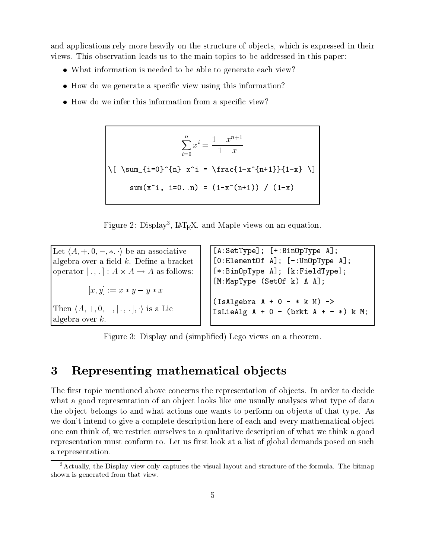and applications rely more heavily on the structure of objects, which is expressed in their views This observation leads us to the main topics to be addressed in this paper

- What information is needed to be able to generate each view?
- $\bullet$  How do we generate a specific view using this information?
- $\bullet$  How do we infer this information from a specific view?

$$
\sum_{i=0}^{n} x^{i} = \frac{1 - x^{n+1}}{1 - x}
$$
\n
$$
\sqrt{\left[\sum_{i=0}^{n} x^{i} = \frac{1 - x^{n+1}}{1 - x} \right] \cdot \left[\sum_{i=0}^{n} x^{i} = \frac{1 - x^{n+1}}{1 - x} \right]}
$$
\n
$$
\text{sum}(x^{i}, i = 0..n) = (1 - x^{n+1}) / (1 - x)
$$

rigure 2: Display", ELEA, and Maple views on an equation.

Let hA- - - - - i be an associative algebra over a field  $k$ . Define a bracket operator is a contract of the state of the state of the state of the state of the state of the state of the st x- y  x y y x Then hA- - - - - - i is a Lie algebra over  $k$ .

 $[A:SetType];$   $[+:BinOpType A];$  ElementOf A -UnOpType A  $[*:BinOpType A]; [k:FieldType];$  $[M:MapType$  (SetOf k) A A]; IsAlgebra A - k M - IsLieAlg A - brkt A - k M

Figure 3: Display and (simplified) Lego views on a theorem.

#### $\bf{3}$ Representing mathematical objects

The first topic mentioned above concerns the representation of objects. In order to decide what a good representation of an object looks like one usually analyses what type of data the object belongs to and what actions one wants to perform on objects of that type. As we don't intend to give a complete description here of each and every mathematical object one can think of, we restrict ourselves to a qualitative description of what we think a good representation must conform to. Let us first look at a list of global demands posed on such a representation

<sup>-</sup>Actually, the Display view only captures the visual layout and structure of the formula. The bitmap shown is generated from that view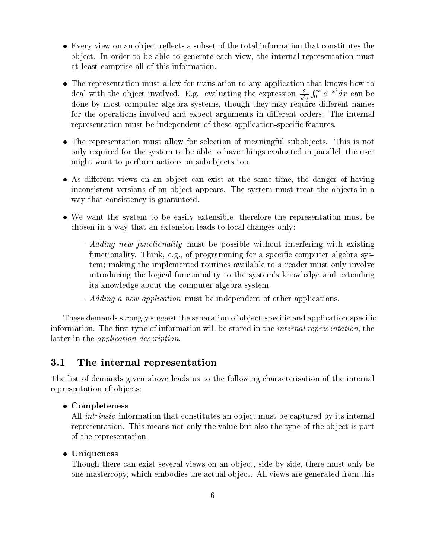- $\bullet$  Every view on an object reflects a subset of the total information that constitutes the object. In order to be able to generate each view, the internal representation must at least comprise all of this information
- The representation must allow for translation to any application that knows how to deal with the object involved. E.g., evaluating the expression  $\equiv$   $\frac{1}{6}$  e  $\degree$  d  $\int_0^\infty e^{-x^2} dx$  can be done by most computer algebra systems, though they may require different names for the operations involved and expect arguments in different orders. The internal representation must be independent of these application-specific features.
- The representation must allow for selection of meaningful subobjects. This is not only required for the system to be able to have things evaluated in parallel, the user might want to perform actions on subobjects too.
- As different views on an object can exist at the same time, the danger of having inconsistent versions of an object appears. The system must treat the objects in a way that consistency is guaranteed.
- We want the system to be easily extensible, therefore the representation must be chosen in a way that an extension leads to local changes only
	- Adding new functionality must be possible without interfering with existing functionality. Think, e.g., of programming for a specific computer algebra system; making the implemented routines available to a reader must only involve introducing the logical functionality to the system's knowledge and extending its knowledge about the computer algebra system
	- Adding a new application must be independent of other applications

These demands strongly suggest the separation of object-specific and application-specific information. The first type of information will be stored in the *internal representation*, the latter in the *application description*.

#### 3.1 The internal representation

The list of demands given above leads us to the following characterisation of the internal representation of objects:

# Completeness

All *intrinsic* information that constitutes an object must be captured by its internal representation. This means not only the value but also the type of the object is part of the representation

### Uniqueness

Though there can exist several views on an object, side by side, there must only be one mastercopy which embodies the actual ob ject All views are generated from this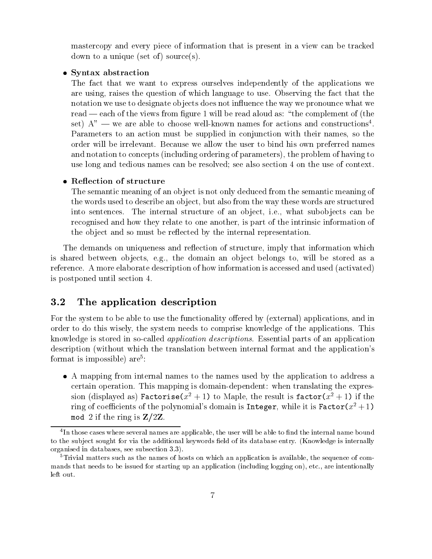mastercopy and every piece of information that is present in a view can be tracked down to a unique (set of) source(s).

# • Syntax abstraction

The fact that we want to express ourselves independently of the applications we are using, raises the question of which language to use. Observing the fact that the notation we use to designate objects does not influence the way we pronounce what we read — each of the views from figure 1 will be read aloud as: "the complement of (the set)  $A''$  — we are able to choose well-known names for actions and constructions<sup>4</sup>. Parameters to an action must be supplied in conjunction with their names, so the order will be irrelevant. Because we allow the user to bind his own preferred names and notation to concepts (including ordering of parameters), the problem of having to use long and tedious names can be resolved; see also section 4 on the use of context.

#### • Reflection of structure

The semantic meaning of an object is not only deduced from the semantic meaning of the words used to describe an object, but also from the way these words are structured into sentences. The internal structure of an object, i.e., what subobjects can be recognised and how they relate to one another, is part of the intrinsic information of the object and so must be reflected by the internal representation.

The demands on uniqueness and reflection of structure, imply that information which is shared between objects, e.g., the domain an object belongs to, will be stored as a reference. A more elaborate description of how information is accessed and used (activated) is postponed until section

#### 3.2 The application description

For the system to be able to use the functionality offered by (external) applications, and in order to do this wisely the system needs to comprise knowledge of the applications This knowledge is stored in socalled application descriptions Essential parts of an application description (without which the translation between internal format and the application's format is impossible) are<sup>5</sup>:

 A mapping from internal names to the names used by the application to address a certain operation. This mapping is domain-dependent: when translating the expression (displayed as) ractorise( $x^- + 1$ ) to Maple, the result is factor( $x^- + 1$ ) if the ring of coefficients of the polynomial s domain is Integer, while it is Factor( $x^{\scriptscriptstyle +}+1$ ) mod 2 if the ring is  $Z/2Z$ .

The unose cases where several names are applicable, the user will be able to nhu the internal name bound the i to the subject sought for via the additional keywords field of its database entry. (Knowledge is internally organised in databases- see subsection 
 

Trivial matters such as the names of hosts on which an application is available- the sequence of com mands that needs to be issued for starting up an application including logging on- etc
- are intentionally left out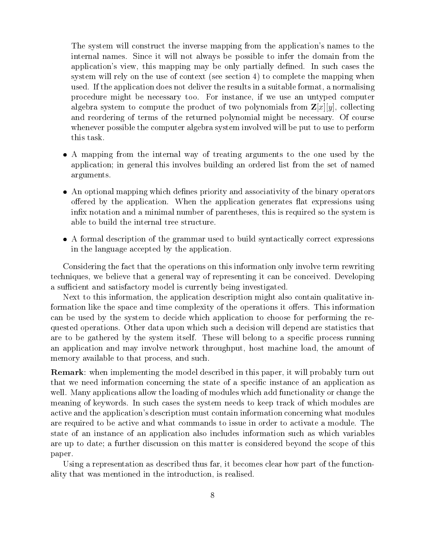The system will construct the inverse mapping from the application's names to the internal names. Since it will not always be possible to infer the domain from the application's view, this mapping may be only partially defined. In such cases the system will rely on the use of context (see section  $4$ ) to complete the mapping when used. If the application does not deliver the results in a suitable format, a normalising procedure might be necessary too For instance if we use an untyped computer algebra system to compute the product of two polynomials from  $\mathbf{Z}[x][y]$ , collecting and reordering of terms of the returned polynomial might be necessary. Of course whenever possible the computer algebra system involved will be put to use to perform this task

- A mapping from the internal way of treating arguments to the one used by the application; in general this involves building an ordered list from the set of named arguments
- An optional mapping which defines priority and associativity of the binary operators offered by the application. When the application generates flat expressions using infix notation and a minimal number of parentheses, this is required so the system is able to build the internal tree structure
- A formal description of the grammar used to build syntactically correct expressions in the language accepted by the application

Considering the fact that the operations on this information only involve term rewriting techniques, we believe that a general way of representing it can be conceived. Developing a sufficient and satisfactory model is currently being investigated.

Next to this information the application description might also contain qualitative in formation like the space and time complexity of the operations it offers. This information can be used by the system to decide which application to choose for performing the re quested operations Other data upon which such a decision will depend are statistics that are to be gathered by the system itself. These will belong to a specific process running an application and may involve network throughput, host machine load, the amount of memory available to that process, and such.

**Remark:** when implementing the model described in this paper, it will probably turn out that we need information concerning the state of a specific instance of an application as well. Many applications allow the loading of modules which add functionality or change the meaning of keywords In such cases the system needs to keep track of which modules are active and the application's description must contain information concerning what modules are required to be active and what commands to issue in order to activate a module The state of an instance of an application also includes information such as which variables are up to date; a further discussion on this matter is considered beyond the scope of this paper

Using a representation as described thus far, it becomes clear how part of the functionality that was mentioned in the introduction, is realised.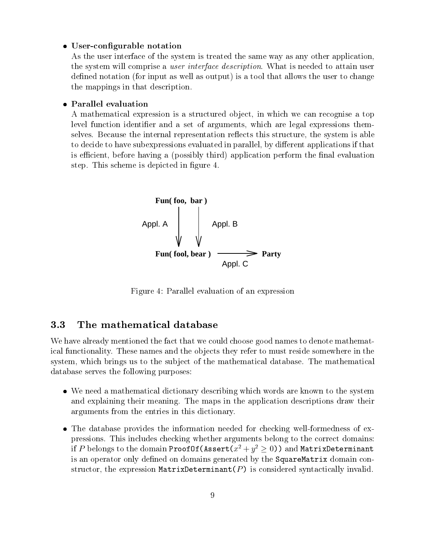# • User-configurable notation

As the user interface of the system is treated the same way as any other application the system will comprise a *user interface description*. What is needed to attain user defined notation (for input as well as output) is a tool that allows the user to change the mappings in that description

# Parallel evaluation

A mathematical expression is a structured object in which we can recognise a top level function identifier and a set of arguments, which are legal expressions themselves. Because the internal representation reflects this structure, the system is able to decide to have subexpressions evaluated in parallel, by different applications if that is efficient, before having a (possibly third) application perform the final evaluation step. This scheme is depicted in figure 4.



Figure 4: Parallel evaluation of an expression

#### $3.3$ The mathematical database

We have already mentioned the fact that we could choose good names to denote mathemat ical functionality. These names and the objects they refer to must reside somewhere in the system, which brings us to the subject of the mathematical database. The mathematical database serves the following purposes

- We need a mathematical dictionary describing which words are known to the system and explaining their meaning. The maps in the application descriptions draw their arguments from the entries in this dictionary
- The database provides the information needed for checking well-formedness of expressions. This includes checking whether arguments belong to the correct domains: If  $P$  belongs to the domain ProofOf(RSSert( $x^- + y^- \geq 0$ )) and MatrixDeterminant is an operator only defined on domains generated by the SquareMatrix domain constructor, the expression MatrixDeterminant( $P$ ) is considered syntactically invalid.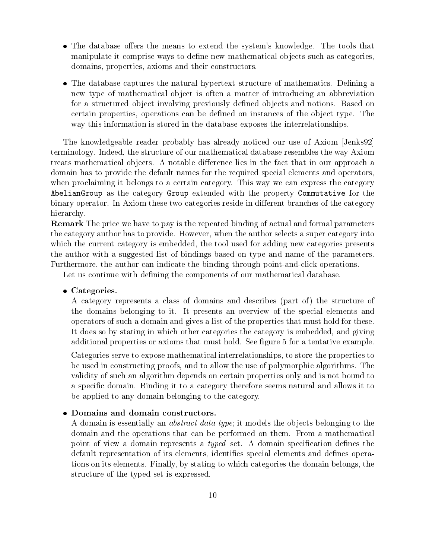- The database offers the means to extend the system's knowledge. The tools that manipulate it comprise ways to define new mathematical objects such as categories. domains, properties, axioms and their constructors.
- The database captures the natural hypertext structure of mathematics. Defining a new type of mathematical object is often a matter of introducing an abbreviation for a structured object involving previously defined objects and notions. Based on certain properties, operations can be defined on instances of the object type. The way this information is stored in the database exposes the interrelationships.

The knowledgeable reader probably has already noticed our use of Axiom Jenks terminology. Indeed, the structure of our mathematical database resembles the way Axiom treats mathematical objects. A notable difference lies in the fact that in our approach a domain has to provide the default names for the required special elements and operators when proclaiming it belongs to a certain category. This way we can express the category AbelianGroup as the category Group extended with the property Commutative for the binary operator. In Axiom these two categories reside in different branches of the category hierarchy.

Remark The price we have to pay is the repeated binding of actual and formal parameters the category author has to provide. However, when the author selects a super category into which the current category is embedded, the tool used for adding new categories presents the author with a suggested list of bindings based on type and name of the parameters Furthermore, the author can indicate the binding through point-and-click operations.

Let us continue with defining the components of our mathematical database.

# • Categories.

A category represents a class of domains and describes (part of) the structure of the domains belonging to it It presents an overview of the special elements and operators of such a domain and gives a list of the properties that must hold for these It does so by stating in which other categories the category is embedded and giving additional properties or axioms that must hold. See figure 5 for a tentative example.

Categories serve to expose mathematical interrelationships, to store the properties to be used in constructing proofs and to allow the use of polymorphic algorithms The validity of such an algorithm depends on certain properties only and is not bound to a specific domain. Binding it to a category therefore seems natural and allows it to be applied to any domain belonging to the category

### • Domains and domain constructors.

A domain is essentially an *abstract data type*; it models the objects belonging to the domain and the operations that can be performed on them. From a mathematical point of view a domain represents a *typed* set. A domain specification defines the default representation of its elements, identifies special elements and defines operations on its elements Finally by stating to which categories the domain belongs the structure of the typed set is expressed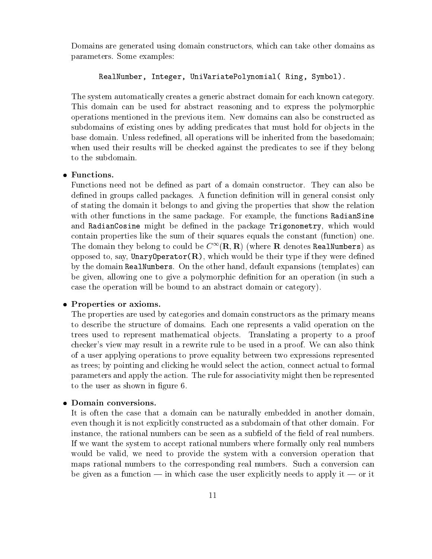Domains are generated using domain constructors, which can take other domains as parameters. Some examples:

#### RealNumber, Integer, UniVariatePolynomial (Ring, Symbol).

The system automatically creates a generic abstract domain for each known category This domain can be used for abstract reasoning and to express the polymorphic operations mentioned in the previous item New domains can also be constructed as subdomains of existing ones by adding predicates that must hold for objects in the base domain. Unless redefined, all operations will be inherited from the basedomain; when used their results will be checked against the predicates to see if they belong to the subdomain

# • Functions.

Functions need not be defined as part of a domain constructor. They can also be defined in groups called packages. A function definition will in general consist only of stating the domain it belongs to and giving the properties that show the relation with other functions in the same package. For example, the functions RadianSine and RadianCosine might be defined in the package Trigonometry, which would contain properties like the sum of their squares equals the constant (function) one. The domain they belong to could be  $C_-(R, R)$  (where  $R$  denotes RealNumbers) as opposed to, say, UnaryOperator $(R)$ , which would be their type if they were defined by the domain RealNumbers. On the other hand, default expansions (templates) can be given, allowing one to give a polymorphic definition for an operation (in such a case the operation will be bound to an abstract domain or category

### • Properties or axioms.

The properties are used by categories and domain constructors as the primary means to describe the structure of domains Each one represents a valid operation on the trees used to represent mathematical ob jects Translating a property to a proof checker's view may result in a rewrite rule to be used in a proof. We can also think of a user applying operations to prove equality between two expressions represented as trees; by pointing and clicking he would select the action, connect actual to formal parameters and apply the action The rule for associativity might then be represented to the user as shown in figure 6.

#### • Domain conversions.

It is often the case that a domain can be naturally embedded in another domain even though it is not explicitly constructed as a subdomain of that other domain. For instance, the rational numbers can be seen as a subfield of the field of real numbers. If we want the system to accept rational numbers where formally only real numbers would be valid, we need to provide the system with a conversion operation that maps rational numbers to the corresponding real numbers. Such a conversion can be given as a function  $\frac{1}{\sqrt{2}}$  in which case the user explicitly needs to apply it  $\frac{1}{\sqrt{2}}$  or it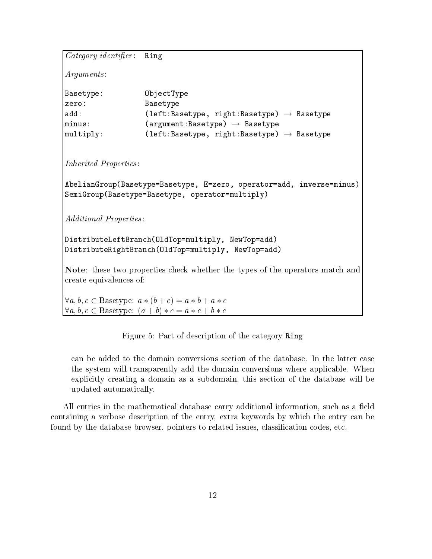```
Category \overline{identifier:} Ring
Arguments
Basetype: ObjectType
zero: Basetype
add: (left:Basetype, right:Basetype) \rightarrow Basetype
minus: (\text{argument:Basetype}) \rightarrow \text{Basetype}multiply: (left:Basetype, right:Basetype) \rightarrow BasetypeInherited Properties
AbelianGroup(Basetype=Basetype, E=zero, operator=add, inverse=minus)
SemiGroup(Basetype=Basetype, operator=multiply)
Additional Properties
DistributeLeftBranch(OldTop=multiply, NewTop=add)
DistributeRightBranch(OldTop=multiply, NewTop=add)
Note: these two properties check whether the types of the operators match and
create equivalences of
a-b-b-c and a b-c and a b-c and a b-c and a b-c and a b-c and a b-c and a b-c and a b-c and a b-c and a b-c an
\mathbf{b} and a set of the state \mathbf{b} and \mathbf{c} are the contribution of the state \mathbf{c}
```
Figure 5: Part of description of the category Ring

can be added to the domain conversions section of the database In the latter case the system will transparently add the domain conversions where applicable. When explicitly creating a domain as a subdomain, this section of the database will be updated automatically

All entries in the mathematical database carry additional information, such as a field containing a verbose description of the entry extra keywords by which the entry can be found by the database browser, pointers to related issues, classification codes, etc.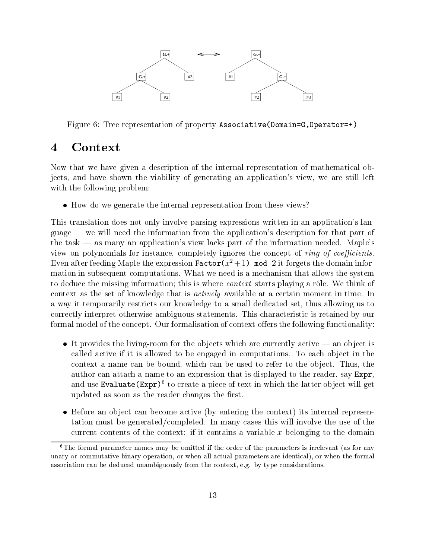

Figure 6: Tree representation of property Associative (Domain=G, Operator=+)

#### Context  $\boldsymbol{4}$

Now that we have given a description of the internal representation of mathematical ob jects, and have shown the viability of generating an application's view, we are still left with the following problem

• How do we generate the internal representation from these views?

This translation does not only involve parsing expressions written in an application's language  $\equiv$  we will need the information from the application's description for that part of the task  $-$  as many an application's view lacks part of the information needed. Maple's view on polynomials for instance, completely ignores the concept of *ring of coefficients*. Even after feeding maple the expression  ${\tt ractor}(x^-+1)$  mod  $z$  it forgets the domain information in subsequent computations. What we need is a mechanism that allows the system to deduce the missing information; this is where *context* starts playing a rôle. We think of context as the set of knowledge that is *actively* available at a certain moment in time. In a way it temporarily restricts our knowledge to a small dedicated set, thus allowing us to correctly interpret otherwise ambiguous statements This characteristic is retained by our formal model of the concept. Our formalisation of context offers the following functionality:

- It provides the living-room for the objects which are currently active  $-$  an object is called active if it is allowed to be engaged in computations. To each object in the context a name can be bound, which can be used to refer to the object. Thus, the author can attach a name to an expression that is displayed to the reader, say  $\text{Expr}$ , and use Evaluate  $(\text{Expr})^6$  to create a piece of text in which the latter object will get updated as soon as the reader changes the first.
- $\bullet$  Before an object can become active (by entering the context) its internal representation must be generated/completed. In many cases this will involve the use of the current contents of the context: if it contains a variable  $x$  belonging to the domain

 $6$ The formal parameter names may be omitted if the order of the parameters is irrelevant (as for any unary or commutative binary or when all actual parameters are identicalassociation can be deduced unambiguously from the context- e
g by type considerations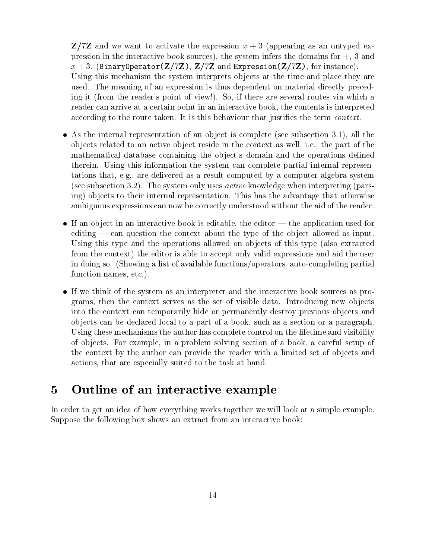$\mathbb{Z}/7\mathbb{Z}$  and we want to activate the expression  $x + 3$  (appearing as an untyped expression in the interactive book sources), the system infers the domains for  $+$ , 3 and  $x + 3$ . (BinaryOperator(Z/7Z), Z/7Z and Expression(Z/7Z), for instance). Using this mechanism the system interprets objects at the time and place they are used. The meaning of an expression is thus dependent on material directly preceding it (from the reader's point of view!). So, if there are several routes via which a reader can arrive at a certain point in an interactive book, the contents is interpreted according to the route taken. It is this behaviour that justifies the term *context*.

- As the internal representation of an object is complete (see subsection 3.1), all the objects related to an active object reside in the context as well, i.e., the part of the mathematical database containing the object's domain and the operations defined therein. Using this information the system can complete partial internal representations that, e.g., are delivered as a result computed by a computer algebra system (see subsection 3.2). The system only uses *active* knowledge when interpreting (parsing) objects to their internal representation. This has the advantage that otherwise ambiguous expressions can now be correctly understood without the aid of the reader
- If an object in an interactive book is editable, the editor  $-$  the application used for editing  $\sim$  can question the context about the type of the object allowed as input. Using this type and the operations allowed on objects of this type (also extracted from the context) the editor is able to accept only valid expressions and aid the user in doing so. (Showing a list of available functions/operators, auto-completing partial function names, etc.).
- If we think of the system as an interpreter and the interactive book sources as pro grams, then the context serves as the set of visible data. Introducing new objects into the context can temporarily hide or permanently destroy previous objects and objects can be declared local to a part of a book, such as a section or a paragraph. Using these mechanisms the author has complete control on the lifetime and visibility of ob jects For example in a problem solving section of a book a careful setup of the context by the author can provide the reader with a limited set of objects and actions, that are especially suited to the task at hand.

#### $\overline{5}$ Outline of an interactive example

In order to get an idea of how everything works together we will look at a simple example Suppose the following box shows an extract from an interactive book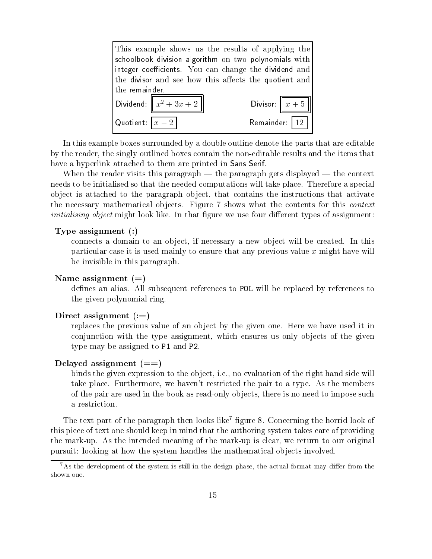| This example shows us the results of applying the     |                        |  |
|-------------------------------------------------------|------------------------|--|
| schoolbook division algorithm on two polynomials with |                        |  |
| integer coefficients. You can change the dividend and |                        |  |
| the divisor and see how this affects the quotient and |                        |  |
| the remainder.                                        |                        |  |
| Dividend: $\left\  x^2 + 3x + 2 \right\ $             | Divisor: $\boxed{x+5}$ |  |
| $\lfloor$ Quotient: $\lfloor x-2\rceil$               | Remainder: $ 12$       |  |

In this example boxes surrounded by a double outline denote the parts that are editable by the reader, the singly outlined boxes contain the non-editable results and the items that have a hyperlink attached to them are printed in Sans Serif.

When the reader visits this paragraph  $-$  the paragraph gets displayed  $-$  the context needs to be initialised so that the needed computations will take place Therefore a special object is attached to the paragraph object, that contains the instructions that activate the necessary mathematical objects. Figure 7 shows what the contents for this *context* initialising object might look like. In that figure we use four different types of assignment:

#### $\sim$  Type assignment assignment assignment assignment assignment assignment assignment assignment assignment assignment assignment assignment assignment assignment as  $\sim$

connects a domain to an object if necessary a new object will be created In this particular case it is used mainly to ensure that any previous value x might have will be invisible in this paragraph

#### name assignment can be a property

defines an alias. All subsequent references to POL will be replaced by references to the given polynomial ring

#### Direct assignment

replaces the previous value of an object by the given one. Here we have used it in conjunction with the type assignment, which ensures us only objects of the given type may be assigned to P1 and P2.

#### Delayed assignment

binds the given expression to the object, i.e., no evaluation of the right hand side will take place. Furthermore, we haven't restricted the pair to a type. As the members of the pair are used in the book as read-only objects, there is no need to impose such a restriction

The text part of the paragraph then looks like "ligure 8. Concerning the horrid look of this piece of text one should keep in mind that the authoring system takes care of providing the mark-up. As the intended meaning of the mark-up is clear, we return to our original pursuit looking at how the system handles the mathematical ob jects involved

As the development of the system is still in the design phase- the actual format may dier from the shown one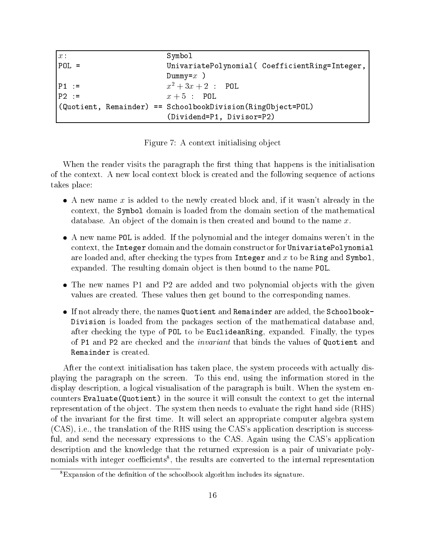| $x$ :                                                               | Symbol                                         |
|---------------------------------------------------------------------|------------------------------------------------|
| $POL =$                                                             | UnivariatePolynomial( CoefficientRing=Integer, |
|                                                                     | Dummy= $x$ )                                   |
| $ P1  :=$                                                           | $x^2 + 3x + 2$ : POL                           |
| $P2 :=$                                                             | $x+5$ : POL                                    |
| $\vert$ (Quotient, Remainder) == SchoolbookDivision(RingObject=POL) |                                                |
| (Dividend=P1, Divisor=P2)                                           |                                                |

Figure 7: A context initialising object

When the reader visits the paragraph the first thing that happens is the initialisation of the context A new local context block is created and the following sequence of actions takes place

- A new name x is added to the newly created block and, if it wasn't already in the context the Symbol domain is loaded from the domain section of the mathematical database. An object of the domain is then created and bound to the name  $x$ .<br>• A new name POL is added. If the polynomial and the integer domains weren't in the
- context, the Integer domain and the domain constructor for UnivariatePolynomial are loaded and, after checking the types from Integer and  $x$  to be Ring and Symbol, expanded. The resulting domain object is then bound to the name POL.
- $\bullet$  The new names P1 and P2 are added and two polynomial objects with the given values are created. These values then get bound to the corresponding names.
- $\bullet$  If not already there, the names Quotient and Remainder are added, the Schoolbook-Division is loaded from the packages section of the mathematical database and after checking the type of POL to be EuclideanRing, expanded. Finally, the types of P1 and P2 are checked and the *invariant* that binds the values of Quotient and Remainder is created

After the context initialisation has taken place, the system proceeds with actually displaying the paragraph on the screen. To this end, using the information stored in the display description, a logical visualisation of the paragraph is built. When the system encounters Evaluate (Quotient) in the source it will consult the context to get the internal representation of the object. The system then needs to evaluate the right hand side (RHS) of the invariant for the first time. It will select an appropriate computer algebra system  $(CAS)$ , i.e., the translation of the RHS using the CAS's application description is successful, and send the necessary expressions to the CAS. Again using the CAS's application description and the knowledge that the returned expression is a pair of univariate poly nomials with integer coemclents , the results are converted to the internal representation

 ${}^{8}$ Expansion of the definition of the schoolbook algorithm includes its signature.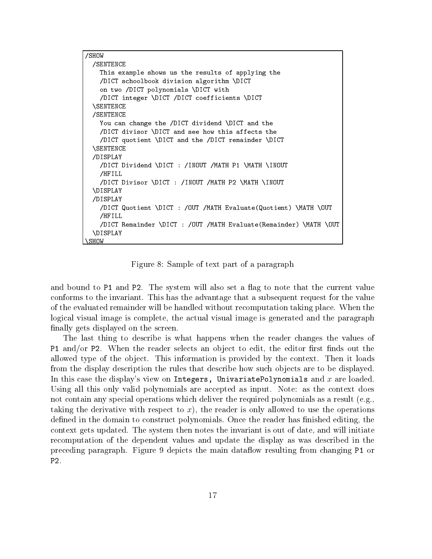```
SHOW
 /SENTENCE
  \overline{\phantom{a}}This example shows us the results of applying the
    DICT schoolbook division algorithm -
DICT
    on two DICT polynomials - DICT polynomials - DICT polynomials - DICT with two DICT with two DICT polynomials -
    DICT integer -
DICT DICT coefficients -
DICT
 \SENTENCE
  -
 /SENTENCE
    You can change the DICT dividend -
DICT and the
    DICT divisor -
DICT and see how this affects the
    DICT quotient -
DICT and the DICT remainder -
DICT
  -
SENTENCE
 DISPLAY
    DICT Dividend -
DICT  INOUT MATH P -
MATH -
INOUT
   /HFILL
    DICT Divisor -
DICT  INOUT MATH P -
MATH -
INOUT
  -
DISPLAY
 DISPLAY
    DICT Quotient -
DICT  OUT MATH EvaluateQuotient -
MATH -
OUT
   /HFTIJ
    \overline{\phantom{a}} . Here \overline{\phantom{a}}DICT Remainder -
DICT  OUT MATH EvaluateRemainder -
MATH -
OUT
  -
DISPLAY
```
 $\mathbf{F}$  figure of text part of the part of a part of a part of a part of a part of a part of a part of a part of a part of a part of a part of a part of a part of a part of a part of a part of a part of a part of a part

-SHOW

and bound to P1 and P2. The system will also set a flag to note that the current value conforms to the invariant. This has the advantage that a subsequent request for the value of the evaluated remainder will be handled without recomputation taking place When the logical visual image is complete, the actual visual image is generated and the paragraph finally gets displayed on the screen.

The last thing to describe is what happens when the reader changes the values of P1 and/or P2. When the reader selects an object to edit, the editor first finds out the allowed type of the object. This information is provided by the context. Then it loads from the display description the rules that describe how such objects are to be displayed. In this case the display's view on Integers, UnivariatePolynomials and  $x$  are loaded. Using all this only valid polynomials are accepted as input. Note: as the context does not contain any special operations which deliver the required polynomials as a result (e.g., taking the derivative with respect to x), the reader is only allowed to use the operations defined in the domain to construct polynomials. Once the reader has finished editing, the context gets updated. The system then notes the invariant is out of date, and will initiate recomputation of the dependent values and update the display as was described in the preceding paragraph. Figure 9 depicts the main dataflow resulting from changing P1 or  $P2.$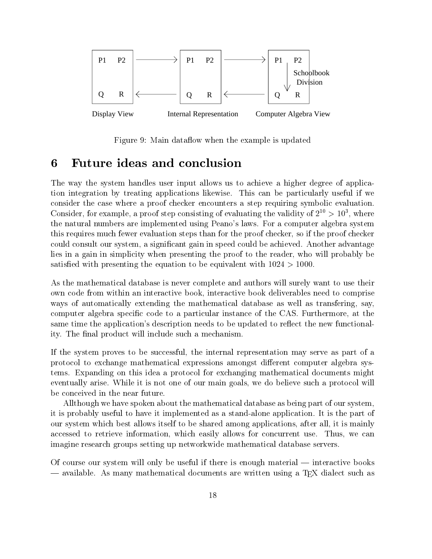

Figure 9: Main dataflow when the example is updated

#### Future ideas and conclusion 6  $\sim$

The way the system handles user input allows us to achieve a higher degree of applica tion integration by treating applications likewise This can be particularly useful if we consider the case where a proof checker encounters a step requiring symbolic evaluation Consider, for example, a proof step consisting of evaluating the validity of  $z \to 10$  , where the natural numbers are implemented using Peano's laws. For a computer algebra system this requires much fewer evaluation steps than for the proof checker so if the proof checker could consult our system, a significant gain in speed could be achieved. Another advantage lies in a gain in simplicity when presenting the proof to the reader, who will probably be satisfied with presenting the equation to be equivalent with  $1024 > 1000$ .

As the mathematical database is never complete and authors will surely want to use their own code from within an interactive book interactive book deliverables need to comprise ways of automatically extending the mathematical database as well as transfering, say, computer algebra specific code to a particular instance of the CAS. Furthermore, at the same time the application's description needs to be updated to reflect the new functionality. The final product will include such a mechanism.

If the system proves to be successful, the internal representation may serve as part of a protocol to exchange mathematical expressions amongst different computer algebra systems. Expanding on this idea a protocol for exchanging mathematical documents might eventually arise. While it is not one of our main goals, we do believe such a protocol will be conceived in the near future

Allthough we have spoken about the mathematical database as being part of our system it is probably useful to have it implemented as a stand-alone application. It is the part of our system which best allows itself to be shared among applications after all it is mainly accessed to retrieve information, which easily allows for concurrent use. Thus, we can imagine research groups setting up networkwide mathematical database servers

Of course our system will only be useful if there is enough material  $-$  interactive books available As many mathematical documents are written using a TEX dialect such as